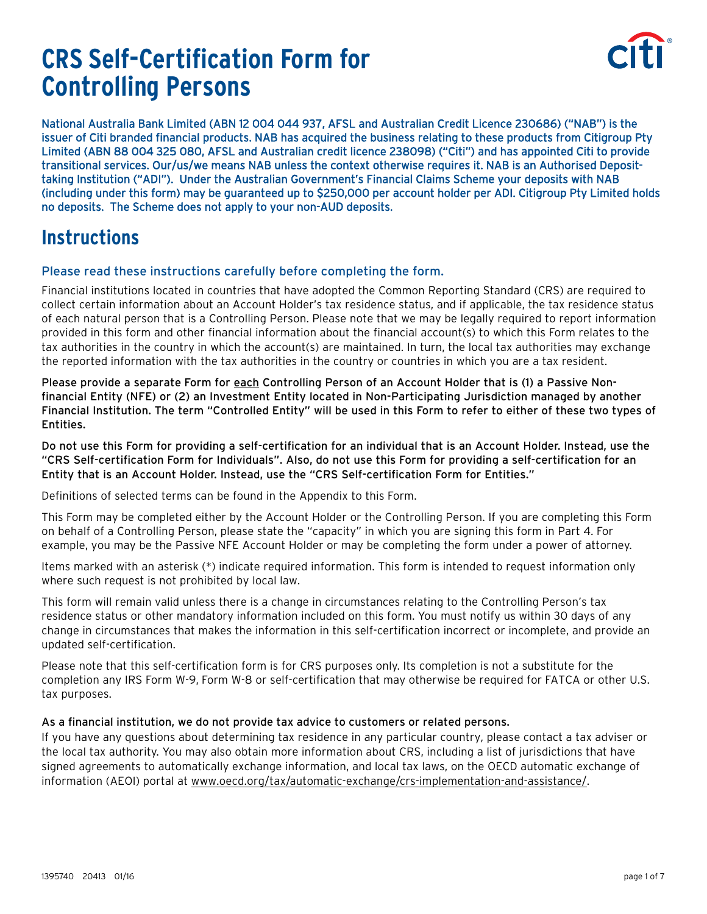# **CRS Self-Certification Form for Controlling Persons**



National Australia Bank Limited (ABN 12 004 044 937, AFSL and Australian Credit Licence 230686) ("NAB") is the issuer of Citi branded financial products. NAB has acquired the business relating to these products from Citigroup Pty Limited (ABN 88 004 325 080, AFSL and Australian credit licence 238098) ("Citi") and has appointed Citi to provide transitional services. Our/us/we means NAB unless the context otherwise requires it. NAB is an Authorised Deposittaking Institution ("ADI"). Under the Australian Government's Financial Claims Scheme your deposits with NAB (including under this form) may be guaranteed up to \$250,000 per account holder per ADI. Citigroup Pty Limited holds no deposits. The Scheme does not apply to your non-AUD deposits.

## **Instructions**

#### Please read these instructions carefully before completing the form.

Financial institutions located in countries that have adopted the Common Reporting Standard (CRS) are required to collect certain information about an Account Holder's tax residence status, and if applicable, the tax residence status of each natural person that is a Controlling Person. Please note that we may be legally required to report information provided in this form and other financial information about the financial account(s) to which this Form relates to the tax authorities in the country in which the account(s) are maintained. In turn, the local tax authorities may exchange the reported information with the tax authorities in the country or countries in which you are a tax resident.

Please provide a separate Form for each Controlling Person of an Account Holder that is (1) a Passive Nonfinancial Entity (NFE) or (2) an Investment Entity located in Non-Participating Jurisdiction managed by another Financial Institution. The term "Controlled Entity" will be used in this Form to refer to either of these two types of Entities.

Do not use this Form for providing a self-certification for an individual that is an Account Holder. Instead, use the "CRS Self-certification Form for Individuals". Also, do not use this Form for providing a self-certification for an Entity that is an Account Holder. Instead, use the "CRS Self-certification Form for Entities."

Definitions of selected terms can be found in the Appendix to this Form.

This Form may be completed either by the Account Holder or the Controlling Person. If you are completing this Form on behalf of a Controlling Person, please state the "capacity" in which you are signing this form in Part 4. For example, you may be the Passive NFE Account Holder or may be completing the form under a power of attorney.

Items marked with an asterisk (\*) indicate required information. This form is intended to request information only where such request is not prohibited by local law.

This form will remain valid unless there is a change in circumstances relating to the Controlling Person's tax residence status or other mandatory information included on this form. You must notify us within 30 days of any change in circumstances that makes the information in this self-certification incorrect or incomplete, and provide an updated self-certification.

Please note that this self-certification form is for CRS purposes only. Its completion is not a substitute for the completion any IRS Form W-9, Form W-8 or self-certification that may otherwise be required for FATCA or other U.S. tax purposes.

#### As a financial institution, we do not provide tax advice to customers or related persons.

If you have any questions about determining tax residence in any particular country, please contact a tax adviser or the local tax authority. You may also obtain more information about CRS, including a list of jurisdictions that have signed agreements to automatically exchange information, and local tax laws, on the OECD automatic exchange of information (AEOI) portal at www.oecd.org/tax/automatic-exchange/crs-implementation-and-assistance/.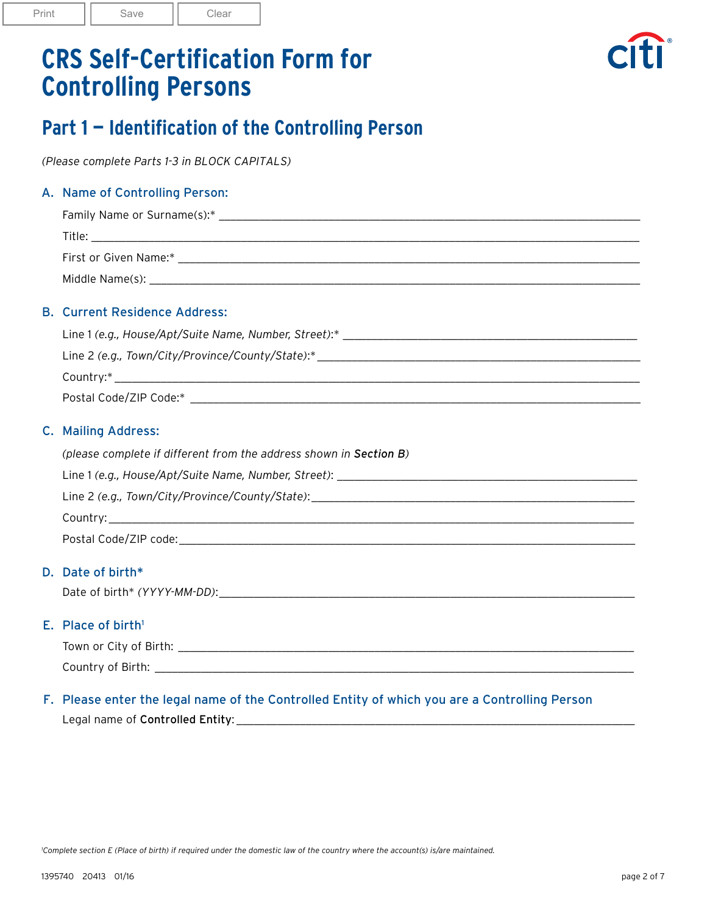Print | Save | Clear

## **CRS Self-Certification Form for Controlling Persons**



## **Part 1 — Identification of the Controlling Person**

*(Please complete Parts 1-3 in BLOCK CAPITALS)*

#### A. Name of Controlling Person:

| <b>B. Current Residence Address:</b>                                                                                                                                                                                                                  |  |  |  |  |
|-------------------------------------------------------------------------------------------------------------------------------------------------------------------------------------------------------------------------------------------------------|--|--|--|--|
|                                                                                                                                                                                                                                                       |  |  |  |  |
|                                                                                                                                                                                                                                                       |  |  |  |  |
|                                                                                                                                                                                                                                                       |  |  |  |  |
|                                                                                                                                                                                                                                                       |  |  |  |  |
| C. Mailing Address:                                                                                                                                                                                                                                   |  |  |  |  |
| (please complete if different from the address shown in Section B)                                                                                                                                                                                    |  |  |  |  |
|                                                                                                                                                                                                                                                       |  |  |  |  |
|                                                                                                                                                                                                                                                       |  |  |  |  |
|                                                                                                                                                                                                                                                       |  |  |  |  |
|                                                                                                                                                                                                                                                       |  |  |  |  |
| D. Date of birth*                                                                                                                                                                                                                                     |  |  |  |  |
| Date of birth* (YYYY-MM-DD): Note that the state of birth and the state of birth $\sim$ 100 mm $\sim$ 100 mm $\sim$ 100 mm $\sim$ 100 mm $\sim$ 100 mm $\sim$ 100 mm $\sim$ 100 mm $\sim$ 100 mm $\sim$ 100 mm $\sim$ 100 mm $\sim$ 100 mm $\sim$ 100 |  |  |  |  |
| $E.$ Place of birth <sup>1</sup>                                                                                                                                                                                                                      |  |  |  |  |
|                                                                                                                                                                                                                                                       |  |  |  |  |

### F. Please enter the legal name of the Controlled Entity of which you are a Controlling Person

Legal name of Controlled Entity:

Country of Birth: \_\_\_\_\_\_\_\_\_\_\_\_\_\_\_\_\_\_\_\_\_\_\_\_\_\_\_\_\_\_\_\_\_\_\_\_\_\_\_\_\_\_\_\_\_\_\_\_\_\_\_\_\_\_\_\_\_\_\_\_\_\_\_\_\_\_\_\_\_\_\_\_\_\_\_\_\_\_\_\_\_\_\_

*1 Complete section E (Place of birth) if required under the domestic law of the country where the account(s) is/are maintained.*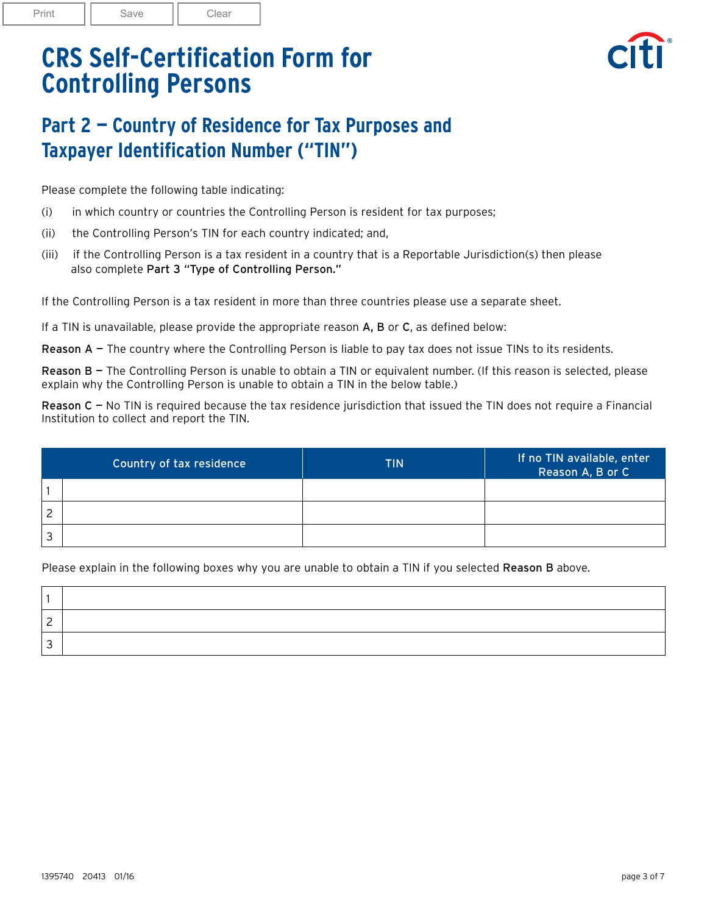## **CRS Self-Certification Form for Controlling Persons**



## **Part 2 — Country of Residence for Tax Purposes and Taxpayer Identification Number ("TIN")**

Please complete the following table indicating:

- (i) in which country or countries the Controlling Person is resident for tax purposes;
- (ii) the Controlling Person's TIN for each country indicated; and,
- (iii) if the Controlling Person is a tax resident in a country that is a Reportable Jurisdiction(s) then please also complete Part 3 "Type of Controlling Person."

If the Controlling Person is a tax resident in more than three countries please use a separate sheet.

If a TIN is unavailable, please provide the appropriate reason A, B or C, as defined below:

Reason A – The country where the Controlling Person is liable to pay tax does not issue TINs to its residents.

Reason  $B$  – The Controlling Person is unable to obtain a TIN or equivalent number. (If this reason is selected, please explain why the Controlling Person is unable to obtain a TIN in the below table.)

Reason  $C - No$  TIN is required because the tax residence jurisdiction that issued the TIN does not require a Financial Institution to collect and report the TIN.

| Country of tax residence |  | TIN | If no TIN available, enter<br>Reason A, B or C |  |
|--------------------------|--|-----|------------------------------------------------|--|
|                          |  |     |                                                |  |
| ◠                        |  |     |                                                |  |
| ◠<br>ت                   |  |     |                                                |  |

Please explain in the following boxes why you are unable to obtain a TIN if you selected Reason B above.

| _ |  |
|---|--|
|   |  |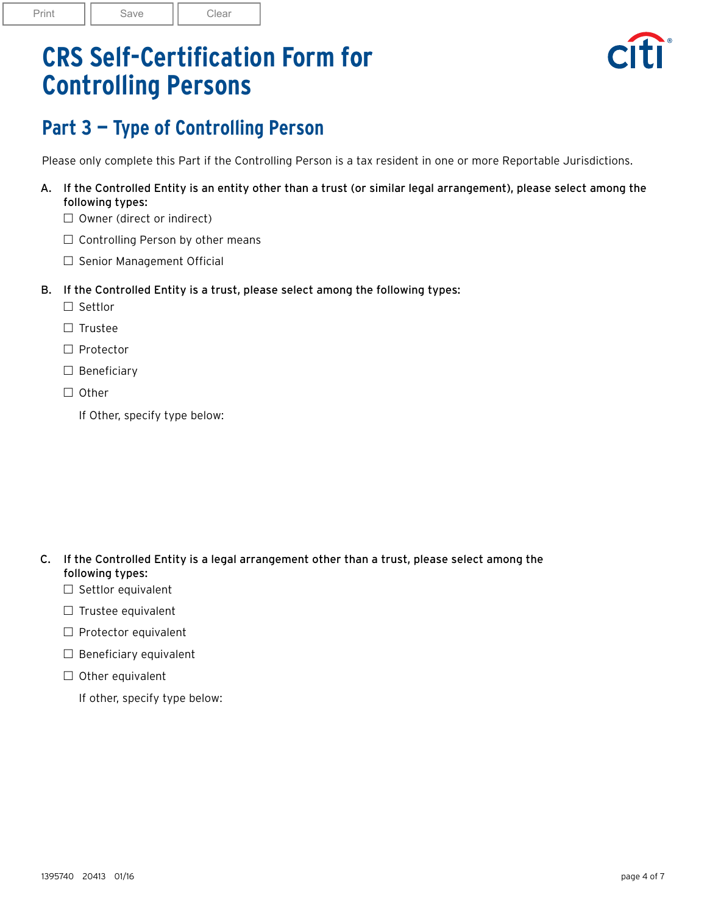Print | Save | Clear

# **CRS Self-Certification Form for Controlling Persons**



## **Part 3 — Type of Controlling Person**

Please only complete this Part if the Controlling Person is a tax resident in one or more Reportable Jurisdictions.

- A. If the Controlled Entity is an entity other than a trust (or similar legal arrangement), please select among the following types:
	- $\Box$  Owner (direct or indirect)
	- $\square$  Controlling Person by other means
	- $\square$  Senior Management Official
- B. If the Controlled Entity is a trust, please select among the following types:
	- □ Settlor
	- □ Trustee
	- □ Protector
	- □ Beneficiary
	- □ Other
		- If Other, specify type below:

- C. If the Controlled Entity is a legal arrangement other than a trust, please select among the following types:
	- □ Settlor equivalent
	- $\Box$  Trustee equivalent
	- $\square$  Protector equivalent
	- $\square$  Beneficiary equivalent
	- $\Box$  Other equivalent

If other, specify type below: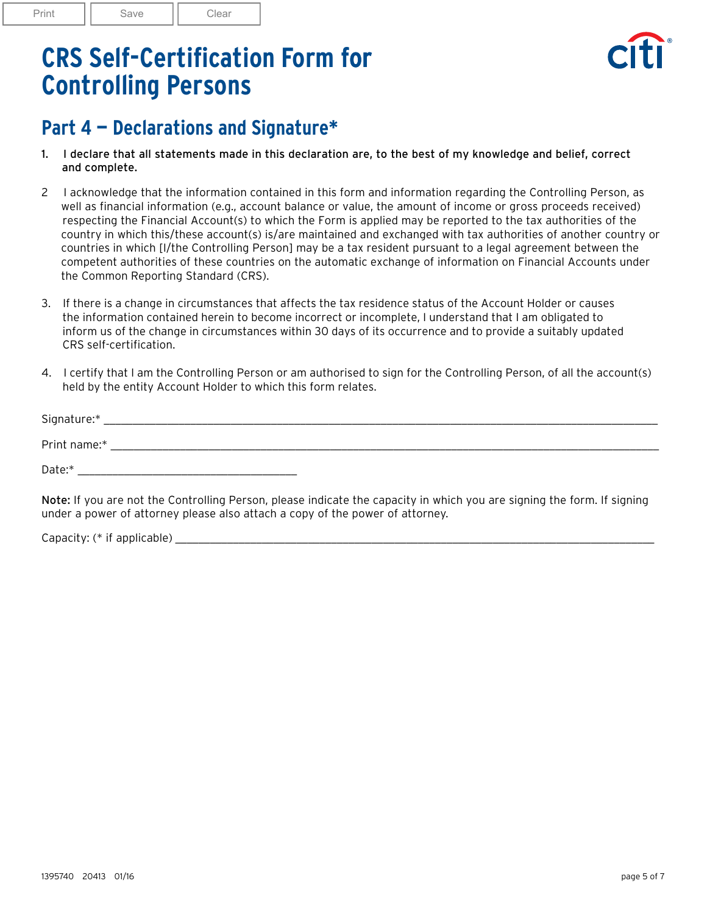Print | Save | Clear

# **CRS Self-Certification Form for Controlling Persons**



### **Part 4 — Declarations and Signature\***

- 1. I declare that all statements made in this declaration are, to the best of my knowledge and belief, correct and complete.
- 2 I acknowledge that the information contained in this form and information regarding the Controlling Person, as well as financial information (e.g., account balance or value, the amount of income or gross proceeds received) respecting the Financial Account(s) to which the Form is applied may be reported to the tax authorities of the country in which this/these account(s) is/are maintained and exchanged with tax authorities of another country or countries in which [I/the Controlling Person] may be a tax resident pursuant to a legal agreement between the competent authorities of these countries on the automatic exchange of information on Financial Accounts under the Common Reporting Standard (CRS).
- 3. If there is a change in circumstances that affects the tax residence status of the Account Holder or causes the information contained herein to become incorrect or incomplete, I understand that I am obligated to inform us of the change in circumstances within 30 days of its occurrence and to provide a suitably updated CRS self-certification.
- 4. I certify that I am the Controlling Person or am authorised to sign for the Controlling Person, of all the account(s) held by the entity Account Holder to which this form relates.

| Signature:*  |  |  |
|--------------|--|--|
| Print name:* |  |  |
| Date:*       |  |  |

Note: If you are not the Controlling Person, please indicate the capacity in which you are signing the form. If signing under a power of attorney please also attach a copy of the power of attorney.

Capacity: (\* if applicable) \_\_\_\_\_\_\_\_\_\_\_\_\_\_\_\_\_\_\_\_\_\_\_\_\_\_\_\_\_\_\_\_\_\_\_\_\_\_\_\_\_\_\_\_\_\_\_\_\_\_\_\_\_\_\_\_\_\_\_\_\_\_\_\_\_\_\_\_\_\_\_\_\_\_\_\_\_\_\_\_\_\_\_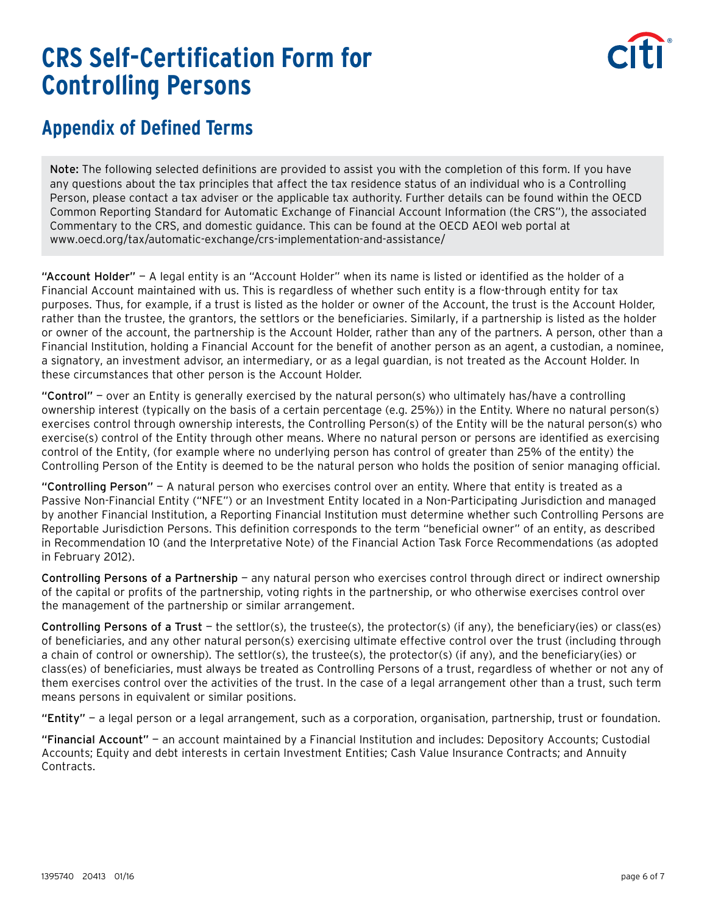# **CRS Self-Certification Form for Controlling Persons**



## **Appendix of Defined Terms**

Note: The following selected definitions are provided to assist you with the completion of this form. If you have any questions about the tax principles that affect the tax residence status of an individual who is a Controlling Person, please contact a tax adviser or the applicable tax authority. Further details can be found within the OECD Common Reporting Standard for Automatic Exchange of Financial Account Information (the CRS"), the associated Commentary to the CRS, and domestic guidance. This can be found at the OECD AEOI web portal at www.oecd.org/tax/automatic-exchange/crs-implementation-and-assistance/

"Account Holder" — A legal entity is an "Account Holder" when its name is listed or identified as the holder of a Financial Account maintained with us. This is regardless of whether such entity is a flow-through entity for tax purposes. Thus, for example, if a trust is listed as the holder or owner of the Account, the trust is the Account Holder, rather than the trustee, the grantors, the settlors or the beneficiaries. Similarly, if a partnership is listed as the holder or owner of the account, the partnership is the Account Holder, rather than any of the partners. A person, other than a Financial Institution, holding a Financial Account for the benefit of another person as an agent, a custodian, a nominee, a signatory, an investment advisor, an intermediary, or as a legal guardian, is not treated as the Account Holder. In these circumstances that other person is the Account Holder.

"Control" — over an Entity is generally exercised by the natural person(s) who ultimately has/have a controlling ownership interest (typically on the basis of a certain percentage (e.g. 25%)) in the Entity. Where no natural person(s) exercises control through ownership interests, the Controlling Person(s) of the Entity will be the natural person(s) who exercise(s) control of the Entity through other means. Where no natural person or persons are identified as exercising control of the Entity, (for example where no underlying person has control of greater than 25% of the entity) the Controlling Person of the Entity is deemed to be the natural person who holds the position of senior managing official.

"Controlling Person" — A natural person who exercises control over an entity. Where that entity is treated as a Passive Non-Financial Entity ("NFE") or an Investment Entity located in a Non-Participating Jurisdiction and managed by another Financial Institution, a Reporting Financial Institution must determine whether such Controlling Persons are Reportable Jurisdiction Persons. This definition corresponds to the term "beneficial owner" of an entity, as described in Recommendation 10 (and the Interpretative Note) of the Financial Action Task Force Recommendations (as adopted in February 2012).

Controlling Persons of a Partnership – any natural person who exercises control through direct or indirect ownership of the capital or profits of the partnership, voting rights in the partnership, or who otherwise exercises control over the management of the partnership or similar arrangement.

Controlling Persons of a Trust – the settlor(s), the trustee(s), the protector(s) (if any), the beneficiary(ies) or class(es) of beneficiaries, and any other natural person(s) exercising ultimate effective control over the trust (including through a chain of control or ownership). The settlor(s), the trustee(s), the protector(s) (if any), and the beneficiary(ies) or class(es) of beneficiaries, must always be treated as Controlling Persons of a trust, regardless of whether or not any of them exercises control over the activities of the trust. In the case of a legal arrangement other than a trust, such term means persons in equivalent or similar positions.

"Entity" — a legal person or a legal arrangement, such as a corporation, organisation, partnership, trust or foundation.

"Financial Account" — an account maintained by a Financial Institution and includes: Depository Accounts; Custodial Accounts; Equity and debt interests in certain Investment Entities; Cash Value Insurance Contracts; and Annuity Contracts.